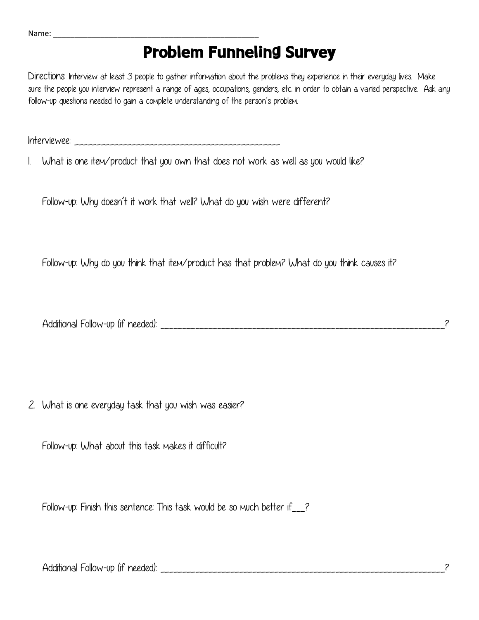| Name: |  |  |  |  |  |
|-------|--|--|--|--|--|
|       |  |  |  |  |  |

## **Problem Funneling Survey**

Directions: Interview at least 3 people to gather information about the problems they experience in their everyday lives. Make sure the people you interview represent a range of ages, occupations, genders, etc. in order to obtain a varied perspective. Ask any follow-up questions needed to gain a complete understanding of the person's problem.

Interviewee: \_\_\_\_\_\_\_\_\_\_\_\_\_\_\_\_\_\_\_\_\_\_\_\_\_\_\_\_\_\_\_\_\_\_\_\_\_\_\_\_\_\_\_\_\_\_\_

1. What is one item/product that you own that does not work as well as you would like?

Follow-up: Why doesn't it work that well? What do you wish were different?

Follow-up: Why do you think that item/product has that problem? What do you think causes it?

| Follow-up<br>Additional<br>neededl<br>, (It |  |
|---------------------------------------------|--|
|---------------------------------------------|--|

2. What is one everyday task that you wish was easier?

Follow-up: What about this task makes it difficult?

Follow-up: Finish this sentence: This task would be so much better if\_\_\_?

Additional Follow-up (if needed): \_\_\_\_\_\_\_\_\_\_\_\_\_\_\_\_\_\_\_\_\_\_\_\_\_\_\_\_\_\_\_\_\_\_\_\_\_\_\_\_\_\_\_\_\_\_\_\_\_\_\_\_\_\_\_\_\_\_\_\_\_\_\_\_\_?